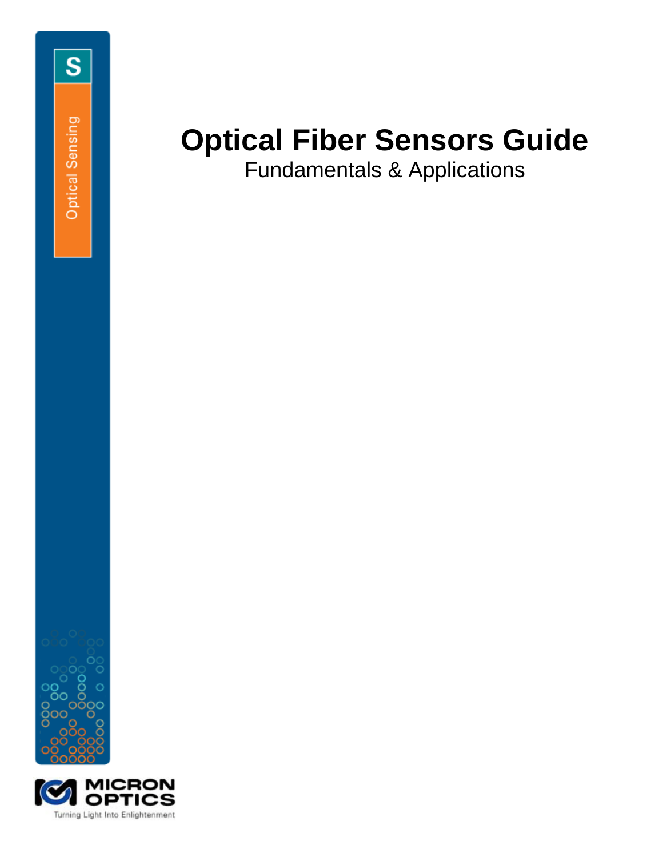Fundamentals & Applications



S

Optical Sensing

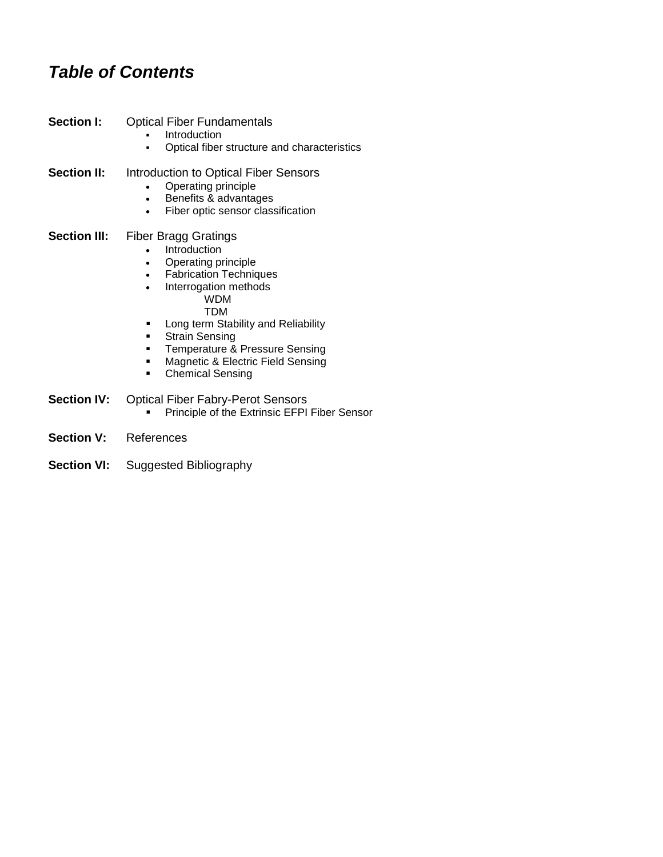# *Table of Contents*

| <b>Section I:</b>   | <b>Optical Fiber Fundamentals</b><br>Introduction<br>Optical fiber structure and characteristics                                                                                                                                                                                                                                                  |
|---------------------|---------------------------------------------------------------------------------------------------------------------------------------------------------------------------------------------------------------------------------------------------------------------------------------------------------------------------------------------------|
| <b>Section II:</b>  | Introduction to Optical Fiber Sensors<br>Operating principle<br>Benefits & advantages<br>$\bullet$<br>Fiber optic sensor classification<br>٠                                                                                                                                                                                                      |
| <b>Section III:</b> | <b>Fiber Bragg Gratings</b><br>Introduction<br>Operating principle<br>٠<br><b>Fabrication Techniques</b><br>Interrogation methods<br><b>WDM</b><br>TDM<br>Long term Stability and Reliability<br>٠<br><b>Strain Sensing</b><br>٠<br>Temperature & Pressure Sensing<br>▪<br>Magnetic & Electric Field Sensing<br>٠<br><b>Chemical Sensing</b><br>■ |
| <b>Section IV:</b>  | <b>Optical Fiber Fabry-Perot Sensors</b><br>Principle of the Extrinsic EFPI Fiber Sensor                                                                                                                                                                                                                                                          |
| 0.11                | $F - I$                                                                                                                                                                                                                                                                                                                                           |

- **Section V:** References
- **Section VI:** Suggested Bibliography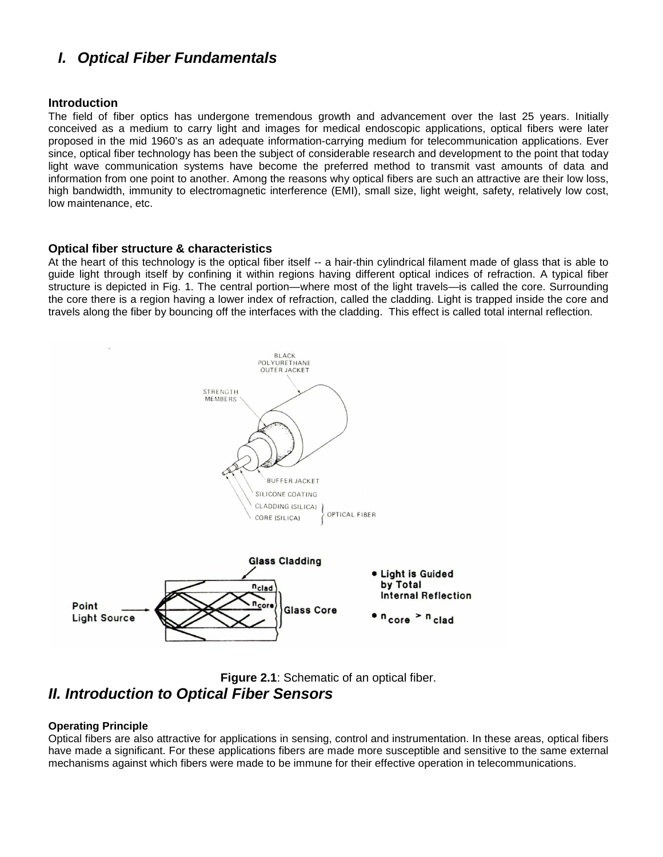## *I. Optical Fiber Fundamentals*

### **Introduction**

The field of fiber optics has undergone tremendous growth and advancement over the last 25 years. Initially conceived as a medium to carry light and images for medical endoscopic applications, optical fibers were later proposed in the mid 1960's as an adequate information-carrying medium for telecommunication applications. Ever since, optical fiber technology has been the subject of considerable research and development to the point that today light wave communication systems have become the preferred method to transmit vast amounts of data and information from one point to another. Among the reasons why optical fibers are such an attractive are their low loss, high bandwidth, immunity to electromagnetic interference (EMI), small size, light weight, safety, relatively low cost, low maintenance, etc.

#### **Optical fiber structure & characteristics**

At the heart of this technology is the optical fiber itself -- a hair-thin cylindrical filament made of glass that is able to guide light through itself by confining it within regions having different optical indices of refraction. A typical fiber structure is depicted in Fig. 1. The central portion—where most of the light travels—is called the core. Surrounding the core there is a region having a lower index of refraction, called the cladding. Light is trapped inside the core and travels along the fiber by bouncing off the interfaces with the cladding. This effect is called total internal reflection.



**Figure 2.1**: Schematic of an optical fiber. *II. Introduction to Optical Fiber Sensors*

#### **Operating Principle**

Optical fibers are also attractive for applications in sensing, control and instrumentation. In these areas, optical fibers have made a significant. For these applications fibers are made more susceptible and sensitive to the same external mechanisms against which fibers were made to be immune for their effective operation in telecommunications.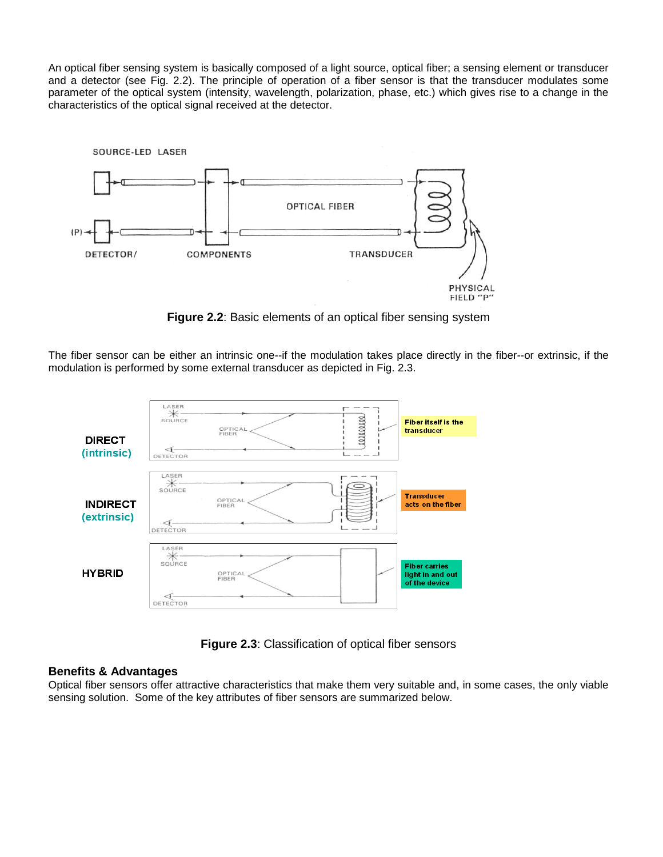An optical fiber sensing system is basically composed of a light source, optical fiber; a sensing element or transducer and a detector (see Fig. 2.2). The principle of operation of a fiber sensor is that the transducer modulates some parameter of the optical system (intensity, wavelength, polarization, phase, etc.) which gives rise to a change in the characteristics of the optical signal received at the detector.



**Figure 2.2**: Basic elements of an optical fiber sensing system

The fiber sensor can be either an intrinsic one--if the modulation takes place directly in the fiber--or extrinsic, if the modulation is performed by some external transducer as depicted in Fig. 2.3.



**Figure 2.3**: Classification of optical fiber sensors

## **Benefits & Advantages**

Optical fiber sensors offer attractive characteristics that make them very suitable and, in some cases, the only viable sensing solution. Some of the key attributes of fiber sensors are summarized below.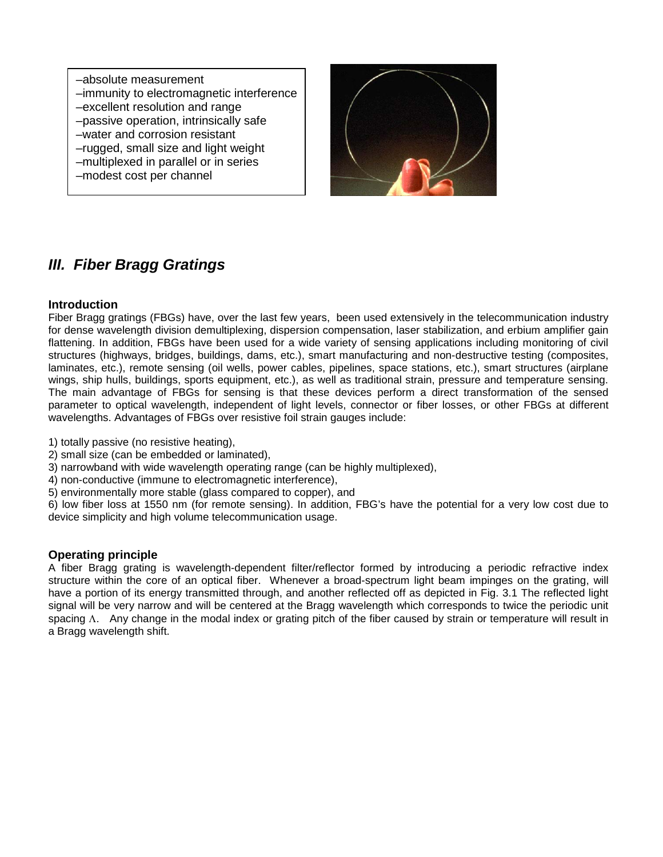–absolute measurement –immunity to electromagnetic interference –excellent resolution and range –passive operation, intrinsically safe –water and corrosion resistant –rugged, small size and light weight –multiplexed in parallel or in series –modest cost per channel



## *III. Fiber Bragg Gratings*

### **Introduction**

Fiber Bragg gratings (FBGs) have, over the last few years, been used extensively in the telecommunication industry for dense wavelength division demultiplexing, dispersion compensation, laser stabilization, and erbium amplifier gain flattening. In addition, FBGs have been used for a wide variety of sensing applications including monitoring of civil structures (highways, bridges, buildings, dams, etc.), smart manufacturing and non-destructive testing (composites, laminates, etc.), remote sensing (oil wells, power cables, pipelines, space stations, etc.), smart structures (airplane wings, ship hulls, buildings, sports equipment, etc.), as well as traditional strain, pressure and temperature sensing. The main advantage of FBGs for sensing is that these devices perform a direct transformation of the sensed parameter to optical wavelength, independent of light levels, connector or fiber losses, or other FBGs at different wavelengths. Advantages of FBGs over resistive foil strain gauges include:

- 1) totally passive (no resistive heating),
- 2) small size (can be embedded or laminated),
- 3) narrowband with wide wavelength operating range (can be highly multiplexed),
- 4) non-conductive (immune to electromagnetic interference),
- 5) environmentally more stable (glass compared to copper), and

6) low fiber loss at 1550 nm (for remote sensing). In addition, FBG's have the potential for a very low cost due to device simplicity and high volume telecommunication usage.

### **Operating principle**

A fiber Bragg grating is wavelength-dependent filter/reflector formed by introducing a periodic refractive index structure within the core of an optical fiber. Whenever a broad-spectrum light beam impinges on the grating, will have a portion of its energy transmitted through, and another reflected off as depicted in Fig. 3.1 The reflected light signal will be very narrow and will be centered at the Bragg wavelength which corresponds to twice the periodic unit spacing Λ. Any change in the modal index or grating pitch of the fiber caused by strain or temperature will result in a Bragg wavelength shift.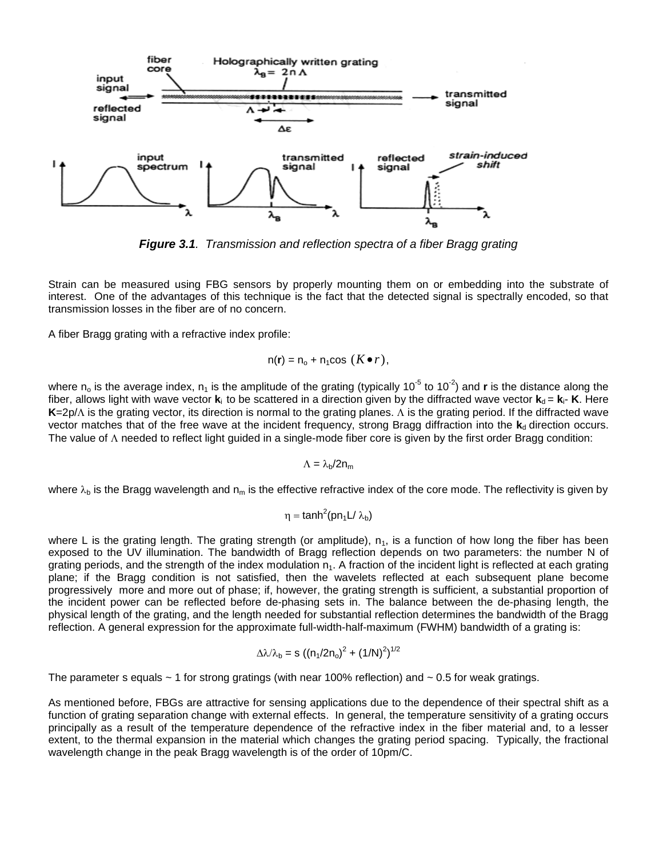

*Figure 3.1. Transmission and reflection spectra of a fiber Bragg grating*

Strain can be measured using FBG sensors by properly mounting them on or embedding into the substrate of interest. One of the advantages of this technique is the fact that the detected signal is spectrally encoded, so that transmission losses in the fiber are of no concern.

A fiber Bragg grating with a refractive index profile:

$$
n(r) = n_o + n_1 \cos (K \bullet r),
$$

where n<sub>o</sub> is the average index, n<sub>1</sub> is the amplitude of the grating (typically 10<sup>-5</sup> to 10<sup>-2</sup>) and **r** is the distance along the fiber, allows light with wave vector  $\bf{k}$ <sub>i</sub> to be scattered in a direction given by the diffracted wave vector  $\bf{k}_{d}$  =  $\bf{k}_{i}$ -  $\bf{K}$ . Here **K**=2p/Λ is the grating vector, its direction is normal to the grating planes. Λ is the grating period. If the diffracted wave vector matches that of the free wave at the incident frequency, strong Bragg diffraction into the  $\mathbf{k}_d$  direction occurs. The value of Λ needed to reflect light guided in a single-mode fiber core is given by the first order Bragg condition:

$$
\Lambda=\lambda_b/2n_m
$$

where  $\lambda_b$  is the Bragg wavelength and  $n_m$  is the effective refractive index of the core mode. The reflectivity is given by

$$
\eta = \tanh^2(pn_1L/\lambda_b)
$$

where L is the grating length. The grating strength (or amplitude),  $n_1$ , is a function of how long the fiber has been exposed to the UV illumination. The bandwidth of Bragg reflection depends on two parameters: the number N of grating periods, and the strength of the index modulation  $n_1$ . A fraction of the incident light is reflected at each grating plane; if the Bragg condition is not satisfied, then the wavelets reflected at each subsequent plane become progressively more and more out of phase; if, however, the grating strength is sufficient, a substantial proportion of the incident power can be reflected before de-phasing sets in. The balance between the de-phasing length, the physical length of the grating, and the length needed for substantial reflection determines the bandwidth of the Bragg reflection. A general expression for the approximate full-width-half-maximum (FWHM) bandwidth of a grating is:

$$
\Delta \lambda / \lambda_{\rm b} = s ((n_1/2n_0)^2 + (1/N)^2)^{1/2}
$$

The parameter s equals  $\sim$  1 for strong gratings (with near 100% reflection) and  $\sim$  0.5 for weak gratings.

As mentioned before, FBGs are attractive for sensing applications due to the dependence of their spectral shift as a function of grating separation change with external effects. In general, the temperature sensitivity of a grating occurs principally as a result of the temperature dependence of the refractive index in the fiber material and, to a lesser extent, to the thermal expansion in the material which changes the grating period spacing. Typically, the fractional wavelength change in the peak Bragg wavelength is of the order of 10pm/C.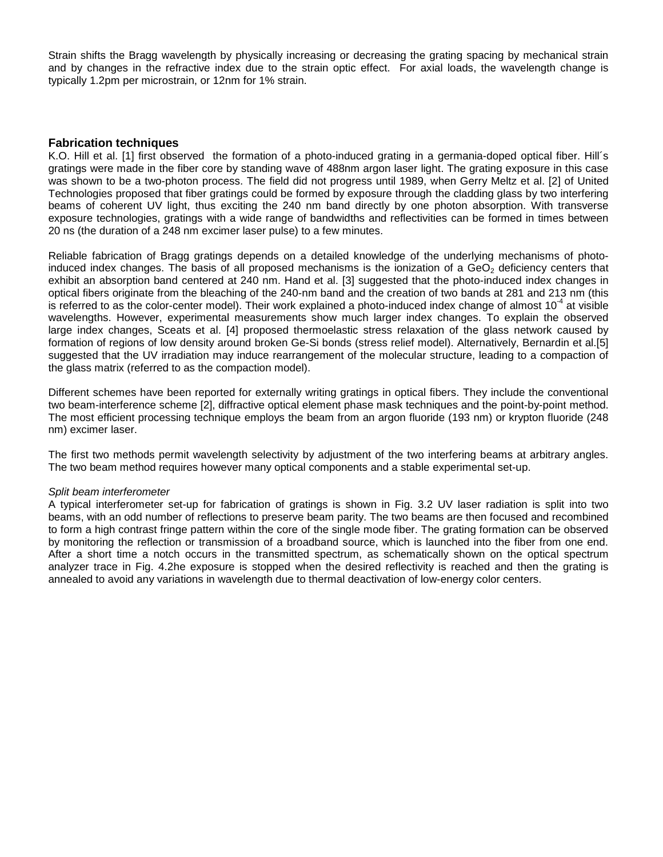Strain shifts the Bragg wavelength by physically increasing or decreasing the grating spacing by mechanical strain and by changes in the refractive index due to the strain optic effect. For axial loads, the wavelength change is typically 1.2pm per microstrain, or 12nm for 1% strain.

#### **Fabrication techniques**

K.O. Hill et al. [1] first observed the formation of a photo-induced grating in a germania-doped optical fiber. Hill´s gratings were made in the fiber core by standing wave of 488nm argon laser light. The grating exposure in this case was shown to be a two-photon process. The field did not progress until 1989, when Gerry Meltz et al. [2] of United Technologies proposed that fiber gratings could be formed by exposure through the cladding glass by two interfering beams of coherent UV light, thus exciting the 240 nm band directly by one photon absorption. With transverse exposure technologies, gratings with a wide range of bandwidths and reflectivities can be formed in times between 20 ns (the duration of a 248 nm excimer laser pulse) to a few minutes.

Reliable fabrication of Bragg gratings depends on a detailed knowledge of the underlying mechanisms of photoinduced index changes. The basis of all proposed mechanisms is the ionization of a GeO<sub>2</sub> deficiency centers that exhibit an absorption band centered at 240 nm. Hand et al. [3] suggested that the photo-induced index changes in optical fibers originate from the bleaching of the 240-nm band and the creation of two bands at 281 and 213 nm (this is referred to as the color-center model). Their work explained a photo-induced index change of almost 10<sup>-4</sup> at visible wavelengths. However, experimental measurements show much larger index changes. To explain the observed large index changes, Sceats et al. [4] proposed thermoelastic stress relaxation of the glass network caused by formation of regions of low density around broken Ge-Si bonds (stress relief model). Alternatively, Bernardin et al.[5] suggested that the UV irradiation may induce rearrangement of the molecular structure, leading to a compaction of the glass matrix (referred to as the compaction model).

Different schemes have been reported for externally writing gratings in optical fibers. They include the conventional two beam-interference scheme [2], diffractive optical element phase mask techniques and the point-by-point method. The most efficient processing technique employs the beam from an argon fluoride (193 nm) or krypton fluoride (248 nm) excimer laser.

The first two methods permit wavelength selectivity by adjustment of the two interfering beams at arbitrary angles. The two beam method requires however many optical components and a stable experimental set-up.

#### *Split beam interferometer*

A typical interferometer set-up for fabrication of gratings is shown in Fig. 3.2 UV laser radiation is split into two beams, with an odd number of reflections to preserve beam parity. The two beams are then focused and recombined to form a high contrast fringe pattern within the core of the single mode fiber. The grating formation can be observed by monitoring the reflection or transmission of a broadband source, which is launched into the fiber from one end. After a short time a notch occurs in the transmitted spectrum, as schematically shown on the optical spectrum analyzer trace in Fig. 4.2he exposure is stopped when the desired reflectivity is reached and then the grating is annealed to avoid any variations in wavelength due to thermal deactivation of low-energy color centers.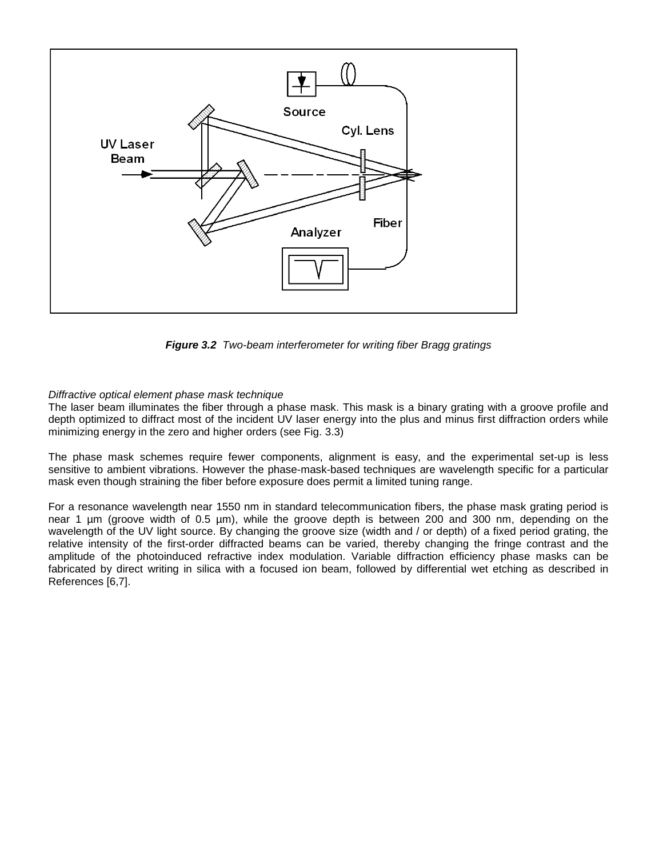

*Figure 3.2 Two-beam interferometer for writing fiber Bragg gratings*

#### *Diffractive optical element phase mask technique*

The laser beam illuminates the fiber through a phase mask. This mask is a binary grating with a groove profile and depth optimized to diffract most of the incident UV laser energy into the plus and minus first diffraction orders while minimizing energy in the zero and higher orders (see Fig. 3.3)

The phase mask schemes require fewer components, alignment is easy, and the experimental set-up is less sensitive to ambient vibrations. However the phase-mask-based techniques are wavelength specific for a particular mask even though straining the fiber before exposure does permit a limited tuning range.

For a resonance wavelength near 1550 nm in standard telecommunication fibers, the phase mask grating period is near 1 µm (groove width of 0.5 µm), while the groove depth is between 200 and 300 nm, depending on the wavelength of the UV light source. By changing the groove size (width and / or depth) of a fixed period grating, the relative intensity of the first-order diffracted beams can be varied, thereby changing the fringe contrast and the amplitude of the photoinduced refractive index modulation. Variable diffraction efficiency phase masks can be fabricated by direct writing in silica with a focused ion beam, followed by differential wet etching as described in References [6,7].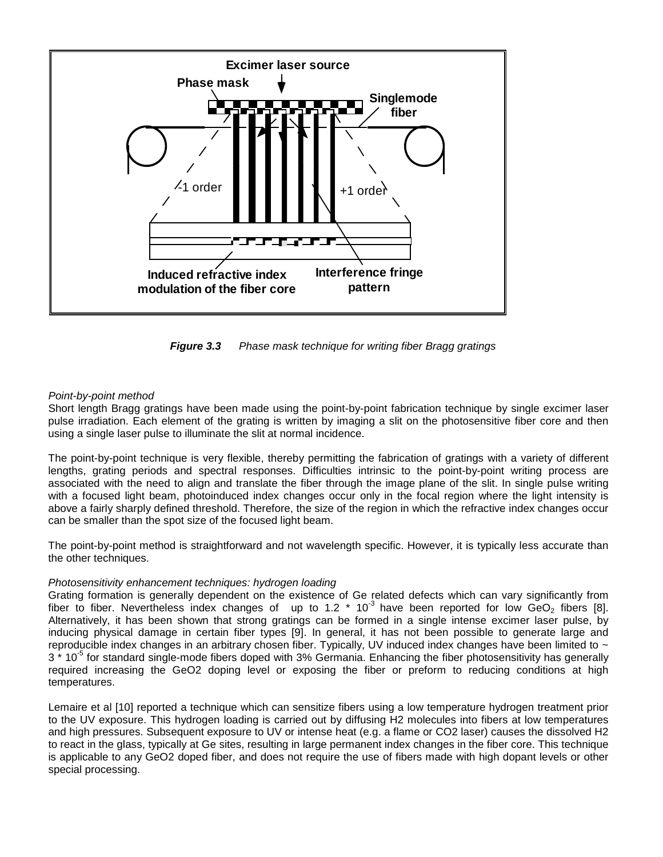

 *Figure 3.3 Phase mask technique for writing fiber Bragg gratings*

#### *Point-by-point method*

Short length Bragg gratings have been made using the point-by-point fabrication technique by single excimer laser pulse irradiation. Each element of the grating is written by imaging a slit on the photosensitive fiber core and then using a single laser pulse to illuminate the slit at normal incidence.

The point-by-point technique is very flexible, thereby permitting the fabrication of gratings with a variety of different lengths, grating periods and spectral responses. Difficulties intrinsic to the point-by-point writing process are associated with the need to align and translate the fiber through the image plane of the slit. In single pulse writing with a focused light beam, photoinduced index changes occur only in the focal region where the light intensity is above a fairly sharply defined threshold. Therefore, the size of the region in which the refractive index changes occur can be smaller than the spot size of the focused light beam.

The point-by-point method is straightforward and not wavelength specific. However, it is typically less accurate than the other techniques.

#### *Photosensitivity enhancement techniques: hydrogen loading*

Grating formation is generally dependent on the existence of Ge related defects which can vary significantly from fiber to fiber. Nevertheless index changes of up to 1.2  $*$  10<sup>-3</sup> have been reported for low GeO<sub>2</sub> fibers [8]. Alternatively, it has been shown that strong gratings can be formed in a single intense excimer laser pulse, by inducing physical damage in certain fiber types [9]. In general, it has not been possible to generate large and reproducible index changes in an arbitrary chosen fiber. Typically, UV induced index changes have been limited to  $\sim$ 3<sup>\*</sup> 10<sup>-5</sup> for standard single-mode fibers doped with 3% Germania. Enhancing the fiber photosensitivity has generally required increasing the GeO2 doping level or exposing the fiber or preform to reducing conditions at high temperatures.

Lemaire et al [10] reported a technique which can sensitize fibers using a low temperature hydrogen treatment prior to the UV exposure. This hydrogen loading is carried out by diffusing H2 molecules into fibers at low temperatures and high pressures. Subsequent exposure to UV or intense heat (e.g. a flame or CO2 laser) causes the dissolved H2 to react in the glass, typically at Ge sites, resulting in large permanent index changes in the fiber core. This technique is applicable to any GeO2 doped fiber, and does not require the use of fibers made with high dopant levels or other special processing.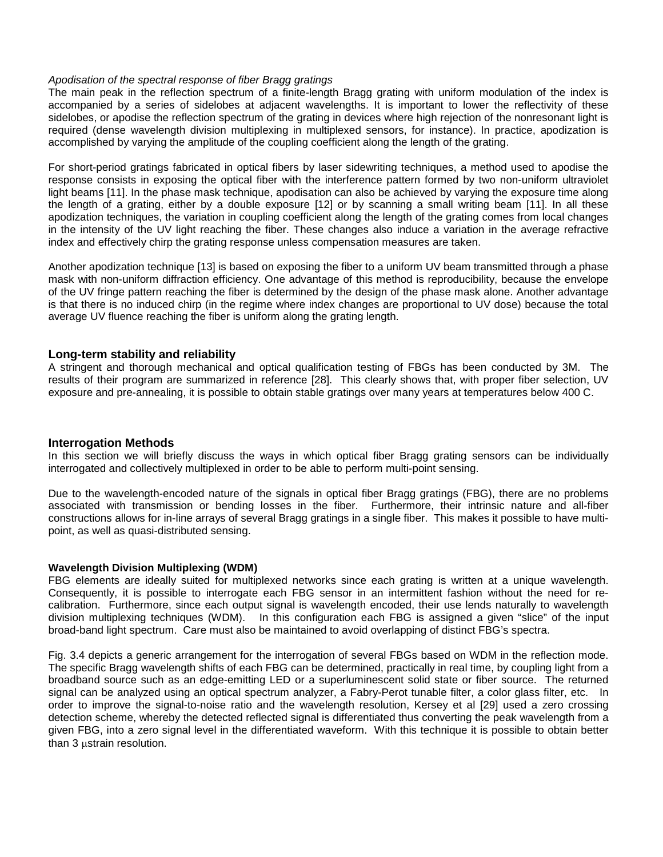#### *Apodisation of the spectral response of fiber Bragg gratings*

The main peak in the reflection spectrum of a finite-length Bragg grating with uniform modulation of the index is accompanied by a series of sidelobes at adjacent wavelengths. It is important to lower the reflectivity of these sidelobes, or apodise the reflection spectrum of the grating in devices where high rejection of the nonresonant light is required (dense wavelength division multiplexing in multiplexed sensors, for instance). In practice, apodization is accomplished by varying the amplitude of the coupling coefficient along the length of the grating.

For short-period gratings fabricated in optical fibers by laser sidewriting techniques, a method used to apodise the response consists in exposing the optical fiber with the interference pattern formed by two non-uniform ultraviolet light beams [11]. In the phase mask technique, apodisation can also be achieved by varying the exposure time along the length of a grating, either by a double exposure [12] or by scanning a small writing beam [11]. In all these apodization techniques, the variation in coupling coefficient along the length of the grating comes from local changes in the intensity of the UV light reaching the fiber. These changes also induce a variation in the average refractive index and effectively chirp the grating response unless compensation measures are taken.

Another apodization technique [13] is based on exposing the fiber to a uniform UV beam transmitted through a phase mask with non-uniform diffraction efficiency. One advantage of this method is reproducibility, because the envelope of the UV fringe pattern reaching the fiber is determined by the design of the phase mask alone. Another advantage is that there is no induced chirp (in the regime where index changes are proportional to UV dose) because the total average UV fluence reaching the fiber is uniform along the grating length.

#### **Long-term stability and reliability**

A stringent and thorough mechanical and optical qualification testing of FBGs has been conducted by 3M. The results of their program are summarized in reference [28]. This clearly shows that, with proper fiber selection, UV exposure and pre-annealing, it is possible to obtain stable gratings over many years at temperatures below 400 C.

#### **Interrogation Methods**

In this section we will briefly discuss the ways in which optical fiber Bragg grating sensors can be individually interrogated and collectively multiplexed in order to be able to perform multi-point sensing.

Due to the wavelength-encoded nature of the signals in optical fiber Bragg gratings (FBG), there are no problems associated with transmission or bending losses in the fiber. Furthermore, their intrinsic nature and all-fiber constructions allows for in-line arrays of several Bragg gratings in a single fiber. This makes it possible to have multipoint, as well as quasi-distributed sensing.

#### **Wavelength Division Multiplexing (WDM)**

FBG elements are ideally suited for multiplexed networks since each grating is written at a unique wavelength. Consequently, it is possible to interrogate each FBG sensor in an intermittent fashion without the need for recalibration. Furthermore, since each output signal is wavelength encoded, their use lends naturally to wavelength division multiplexing techniques (WDM). In this configuration each FBG is assigned a given "slice" of the input broad-band light spectrum. Care must also be maintained to avoid overlapping of distinct FBG's spectra.

Fig. 3.4 depicts a generic arrangement for the interrogation of several FBGs based on WDM in the reflection mode. The specific Bragg wavelength shifts of each FBG can be determined, practically in real time, by coupling light from a broadband source such as an edge-emitting LED or a superluminescent solid state or fiber source. The returned signal can be analyzed using an optical spectrum analyzer, a Fabry-Perot tunable filter, a color glass filter, etc. In order to improve the signal-to-noise ratio and the wavelength resolution, Kersey et al [29] used a zero crossing detection scheme, whereby the detected reflected signal is differentiated thus converting the peak wavelength from a given FBG, into a zero signal level in the differentiated waveform. With this technique it is possible to obtain better than 3 ustrain resolution.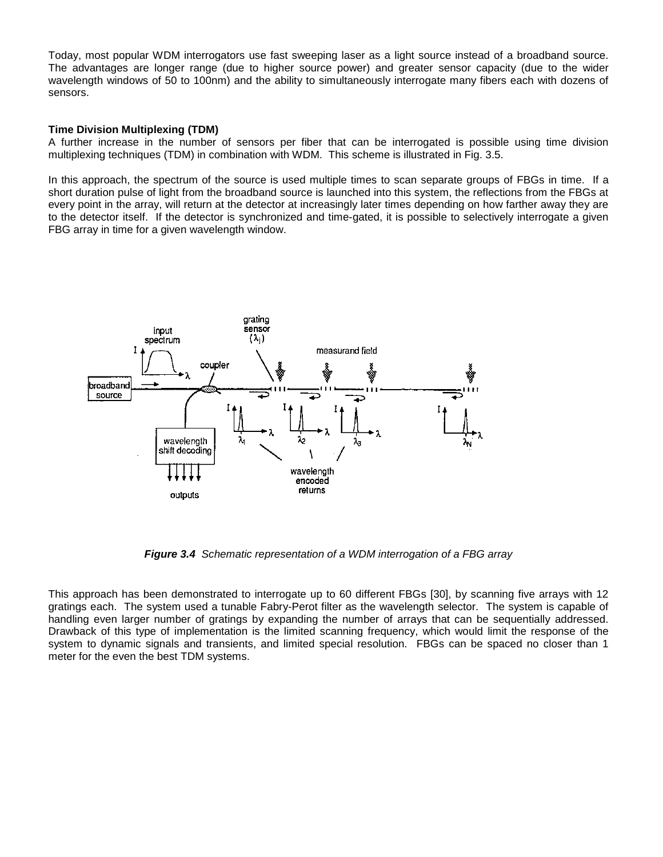Today, most popular WDM interrogators use fast sweeping laser as a light source instead of a broadband source. The advantages are longer range (due to higher source power) and greater sensor capacity (due to the wider wavelength windows of 50 to 100nm) and the ability to simultaneously interrogate many fibers each with dozens of sensors.

#### **Time Division Multiplexing (TDM)**

A further increase in the number of sensors per fiber that can be interrogated is possible using time division multiplexing techniques (TDM) in combination with WDM. This scheme is illustrated in Fig. 3.5.

In this approach, the spectrum of the source is used multiple times to scan separate groups of FBGs in time. If a short duration pulse of light from the broadband source is launched into this system, the reflections from the FBGs at every point in the array, will return at the detector at increasingly later times depending on how farther away they are to the detector itself. If the detector is synchronized and time-gated, it is possible to selectively interrogate a given FBG array in time for a given wavelength window.



*Figure 3.4 Schematic representation of a WDM interrogation of a FBG array*

This approach has been demonstrated to interrogate up to 60 different FBGs [30], by scanning five arrays with 12 gratings each. The system used a tunable Fabry-Perot filter as the wavelength selector. The system is capable of handling even larger number of gratings by expanding the number of arrays that can be sequentially addressed. Drawback of this type of implementation is the limited scanning frequency, which would limit the response of the system to dynamic signals and transients, and limited special resolution. FBGs can be spaced no closer than 1 meter for the even the best TDM systems.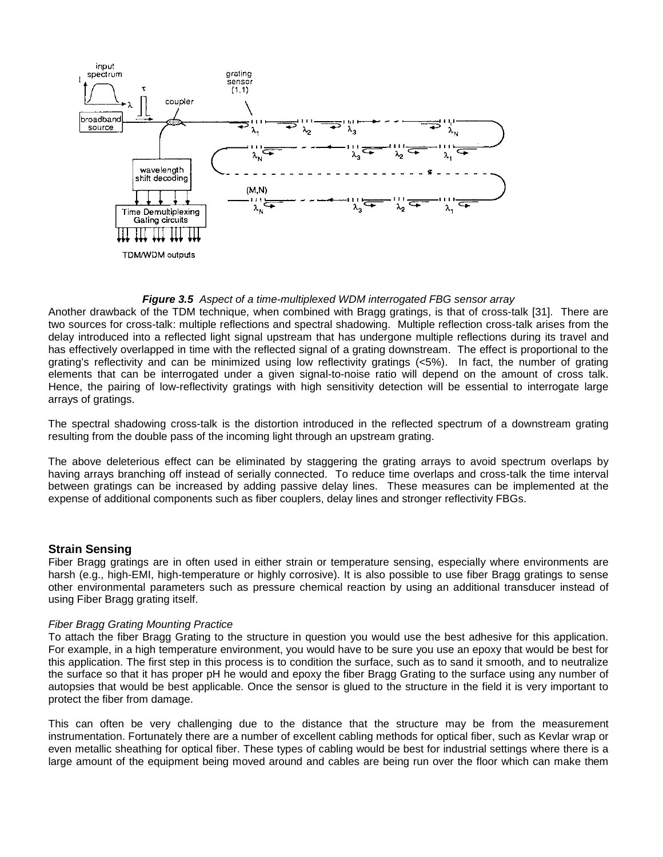

#### *Figure 3.5 Aspect of a time-multiplexed WDM interrogated FBG sensor array*

Another drawback of the TDM technique, when combined with Bragg gratings, is that of cross-talk [31]. There are two sources for cross-talk: multiple reflections and spectral shadowing. Multiple reflection cross-talk arises from the delay introduced into a reflected light signal upstream that has undergone multiple reflections during its travel and has effectively overlapped in time with the reflected signal of a grating downstream. The effect is proportional to the grating's reflectivity and can be minimized using low reflectivity gratings (<5%). In fact, the number of grating elements that can be interrogated under a given signal-to-noise ratio will depend on the amount of cross talk. Hence, the pairing of low-reflectivity gratings with high sensitivity detection will be essential to interrogate large arrays of gratings.

The spectral shadowing cross-talk is the distortion introduced in the reflected spectrum of a downstream grating resulting from the double pass of the incoming light through an upstream grating.

The above deleterious effect can be eliminated by staggering the grating arrays to avoid spectrum overlaps by having arrays branching off instead of serially connected. To reduce time overlaps and cross-talk the time interval between gratings can be increased by adding passive delay lines. These measures can be implemented at the expense of additional components such as fiber couplers, delay lines and stronger reflectivity FBGs.

#### **Strain Sensing**

Fiber Bragg gratings are in often used in either strain or temperature sensing, especially where environments are harsh (e.g., high-EMI, high-temperature or highly corrosive). It is also possible to use fiber Bragg gratings to sense other environmental parameters such as pressure chemical reaction by using an additional transducer instead of using Fiber Bragg grating itself.

#### *Fiber Bragg Grating Mounting Practice*

To attach the fiber Bragg Grating to the structure in question you would use the best adhesive for this application. For example, in a high temperature environment, you would have to be sure you use an epoxy that would be best for this application. The first step in this process is to condition the surface, such as to sand it smooth, and to neutralize the surface so that it has proper pH he would and epoxy the fiber Bragg Grating to the surface using any number of autopsies that would be best applicable. Once the sensor is glued to the structure in the field it is very important to protect the fiber from damage.

This can often be very challenging due to the distance that the structure may be from the measurement instrumentation. Fortunately there are a number of excellent cabling methods for optical fiber, such as Kevlar wrap or even metallic sheathing for optical fiber. These types of cabling would be best for industrial settings where there is a large amount of the equipment being moved around and cables are being run over the floor which can make them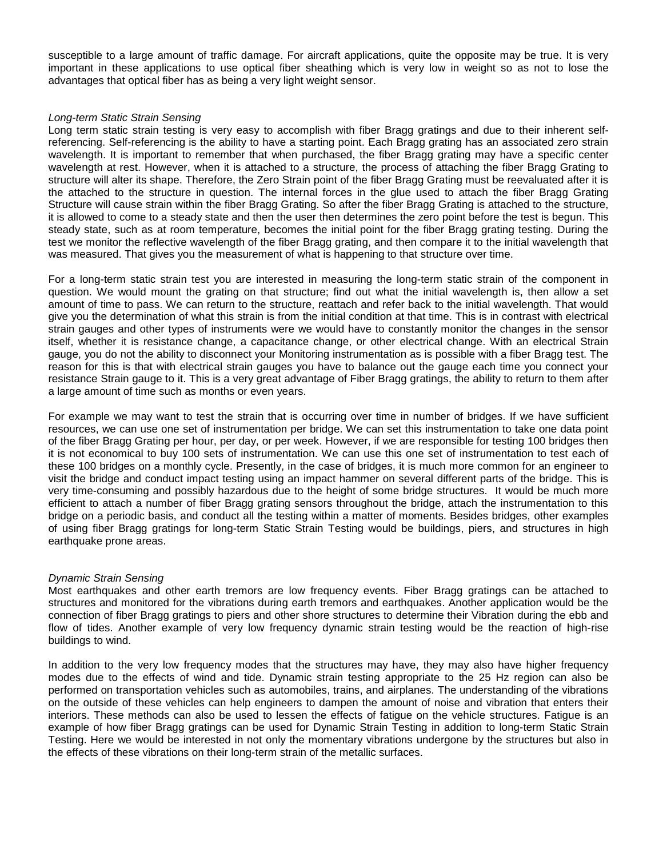susceptible to a large amount of traffic damage. For aircraft applications, quite the opposite may be true. It is very important in these applications to use optical fiber sheathing which is very low in weight so as not to lose the advantages that optical fiber has as being a very light weight sensor.

#### *Long-term Static Strain Sensing*

Long term static strain testing is very easy to accomplish with fiber Bragg gratings and due to their inherent selfreferencing. Self-referencing is the ability to have a starting point. Each Bragg grating has an associated zero strain wavelength. It is important to remember that when purchased, the fiber Bragg grating may have a specific center wavelength at rest. However, when it is attached to a structure, the process of attaching the fiber Bragg Grating to structure will alter its shape. Therefore, the Zero Strain point of the fiber Bragg Grating must be reevaluated after it is the attached to the structure in question. The internal forces in the glue used to attach the fiber Bragg Grating Structure will cause strain within the fiber Bragg Grating. So after the fiber Bragg Grating is attached to the structure, it is allowed to come to a steady state and then the user then determines the zero point before the test is begun. This steady state, such as at room temperature, becomes the initial point for the fiber Bragg grating testing. During the test we monitor the reflective wavelength of the fiber Bragg grating, and then compare it to the initial wavelength that was measured. That gives you the measurement of what is happening to that structure over time.

For a long-term static strain test you are interested in measuring the long-term static strain of the component in question. We would mount the grating on that structure; find out what the initial wavelength is, then allow a set amount of time to pass. We can return to the structure, reattach and refer back to the initial wavelength. That would give you the determination of what this strain is from the initial condition at that time. This is in contrast with electrical strain gauges and other types of instruments were we would have to constantly monitor the changes in the sensor itself, whether it is resistance change, a capacitance change, or other electrical change. With an electrical Strain gauge, you do not the ability to disconnect your Monitoring instrumentation as is possible with a fiber Bragg test. The reason for this is that with electrical strain gauges you have to balance out the gauge each time you connect your resistance Strain gauge to it. This is a very great advantage of Fiber Bragg gratings, the ability to return to them after a large amount of time such as months or even years.

For example we may want to test the strain that is occurring over time in number of bridges. If we have sufficient resources, we can use one set of instrumentation per bridge. We can set this instrumentation to take one data point of the fiber Bragg Grating per hour, per day, or per week. However, if we are responsible for testing 100 bridges then it is not economical to buy 100 sets of instrumentation. We can use this one set of instrumentation to test each of these 100 bridges on a monthly cycle. Presently, in the case of bridges, it is much more common for an engineer to visit the bridge and conduct impact testing using an impact hammer on several different parts of the bridge. This is very time-consuming and possibly hazardous due to the height of some bridge structures. It would be much more efficient to attach a number of fiber Bragg grating sensors throughout the bridge, attach the instrumentation to this bridge on a periodic basis, and conduct all the testing within a matter of moments. Besides bridges, other examples of using fiber Bragg gratings for long-term Static Strain Testing would be buildings, piers, and structures in high earthquake prone areas.

#### *Dynamic Strain Sensing*

Most earthquakes and other earth tremors are low frequency events. Fiber Bragg gratings can be attached to structures and monitored for the vibrations during earth tremors and earthquakes. Another application would be the connection of fiber Bragg gratings to piers and other shore structures to determine their Vibration during the ebb and flow of tides. Another example of very low frequency dynamic strain testing would be the reaction of high-rise buildings to wind.

In addition to the very low frequency modes that the structures may have, they may also have higher frequency modes due to the effects of wind and tide. Dynamic strain testing appropriate to the 25 Hz region can also be performed on transportation vehicles such as automobiles, trains, and airplanes. The understanding of the vibrations on the outside of these vehicles can help engineers to dampen the amount of noise and vibration that enters their interiors. These methods can also be used to lessen the effects of fatigue on the vehicle structures. Fatigue is an example of how fiber Bragg gratings can be used for Dynamic Strain Testing in addition to long-term Static Strain Testing. Here we would be interested in not only the momentary vibrations undergone by the structures but also in the effects of these vibrations on their long-term strain of the metallic surfaces.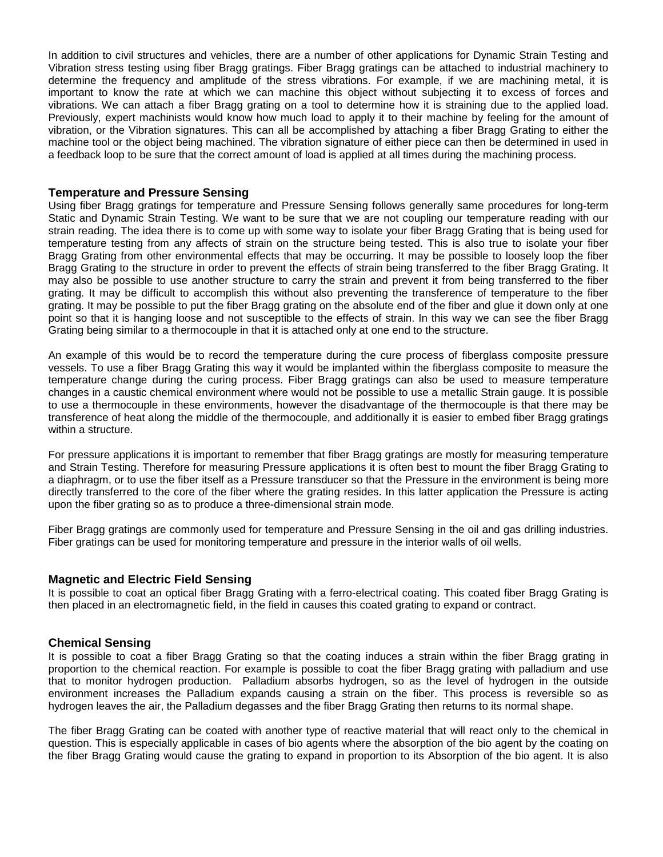In addition to civil structures and vehicles, there are a number of other applications for Dynamic Strain Testing and Vibration stress testing using fiber Bragg gratings. Fiber Bragg gratings can be attached to industrial machinery to determine the frequency and amplitude of the stress vibrations. For example, if we are machining metal, it is important to know the rate at which we can machine this object without subjecting it to excess of forces and vibrations. We can attach a fiber Bragg grating on a tool to determine how it is straining due to the applied load. Previously, expert machinists would know how much load to apply it to their machine by feeling for the amount of vibration, or the Vibration signatures. This can all be accomplished by attaching a fiber Bragg Grating to either the machine tool or the object being machined. The vibration signature of either piece can then be determined in used in a feedback loop to be sure that the correct amount of load is applied at all times during the machining process.

#### **Temperature and Pressure Sensing**

Using fiber Bragg gratings for temperature and Pressure Sensing follows generally same procedures for long-term Static and Dynamic Strain Testing. We want to be sure that we are not coupling our temperature reading with our strain reading. The idea there is to come up with some way to isolate your fiber Bragg Grating that is being used for temperature testing from any affects of strain on the structure being tested. This is also true to isolate your fiber Bragg Grating from other environmental effects that may be occurring. It may be possible to loosely loop the fiber Bragg Grating to the structure in order to prevent the effects of strain being transferred to the fiber Bragg Grating. It may also be possible to use another structure to carry the strain and prevent it from being transferred to the fiber grating. It may be difficult to accomplish this without also preventing the transference of temperature to the fiber grating. It may be possible to put the fiber Bragg grating on the absolute end of the fiber and glue it down only at one point so that it is hanging loose and not susceptible to the effects of strain. In this way we can see the fiber Bragg Grating being similar to a thermocouple in that it is attached only at one end to the structure.

An example of this would be to record the temperature during the cure process of fiberglass composite pressure vessels. To use a fiber Bragg Grating this way it would be implanted within the fiberglass composite to measure the temperature change during the curing process. Fiber Bragg gratings can also be used to measure temperature changes in a caustic chemical environment where would not be possible to use a metallic Strain gauge. It is possible to use a thermocouple in these environments, however the disadvantage of the thermocouple is that there may be transference of heat along the middle of the thermocouple, and additionally it is easier to embed fiber Bragg gratings within a structure.

For pressure applications it is important to remember that fiber Bragg gratings are mostly for measuring temperature and Strain Testing. Therefore for measuring Pressure applications it is often best to mount the fiber Bragg Grating to a diaphragm, or to use the fiber itself as a Pressure transducer so that the Pressure in the environment is being more directly transferred to the core of the fiber where the grating resides. In this latter application the Pressure is acting upon the fiber grating so as to produce a three-dimensional strain mode.

Fiber Bragg gratings are commonly used for temperature and Pressure Sensing in the oil and gas drilling industries. Fiber gratings can be used for monitoring temperature and pressure in the interior walls of oil wells.

#### **Magnetic and Electric Field Sensing**

It is possible to coat an optical fiber Bragg Grating with a ferro-electrical coating. This coated fiber Bragg Grating is then placed in an electromagnetic field, in the field in causes this coated grating to expand or contract.

#### **Chemical Sensing**

It is possible to coat a fiber Bragg Grating so that the coating induces a strain within the fiber Bragg grating in proportion to the chemical reaction. For example is possible to coat the fiber Bragg grating with palladium and use that to monitor hydrogen production. Palladium absorbs hydrogen, so as the level of hydrogen in the outside environment increases the Palladium expands causing a strain on the fiber. This process is reversible so as hydrogen leaves the air, the Palladium degasses and the fiber Bragg Grating then returns to its normal shape.

The fiber Bragg Grating can be coated with another type of reactive material that will react only to the chemical in question. This is especially applicable in cases of bio agents where the absorption of the bio agent by the coating on the fiber Bragg Grating would cause the grating to expand in proportion to its Absorption of the bio agent. It is also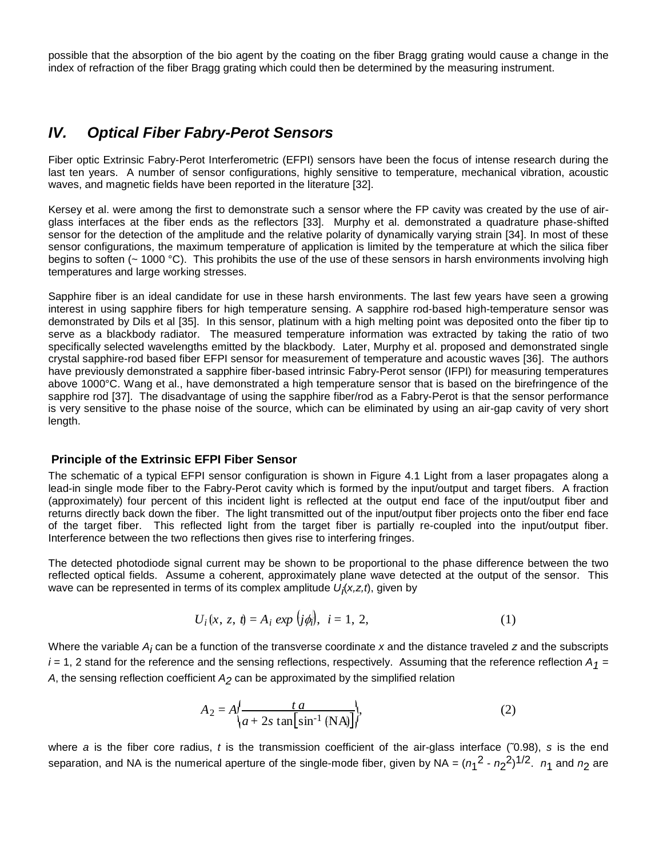possible that the absorption of the bio agent by the coating on the fiber Bragg grating would cause a change in the index of refraction of the fiber Bragg grating which could then be determined by the measuring instrument.

## *IV. Optical Fiber Fabry-Perot Sensors*

Fiber optic Extrinsic Fabry-Perot Interferometric (EFPI) sensors have been the focus of intense research during the last ten years. A number of sensor configurations, highly sensitive to temperature, mechanical vibration, acoustic waves, and magnetic fields have been reported in the literature [32].

Kersey et al. were among the first to demonstrate such a sensor where the FP cavity was created by the use of airglass interfaces at the fiber ends as the reflectors [33]. Murphy et al. demonstrated a quadrature phase-shifted sensor for the detection of the amplitude and the relative polarity of dynamically varying strain [34]. In most of these sensor configurations, the maximum temperature of application is limited by the temperature at which the silica fiber begins to soften ( $\sim$  1000 °C). This prohibits the use of the use of these sensors in harsh environments involving high temperatures and large working stresses.

Sapphire fiber is an ideal candidate for use in these harsh environments. The last few years have seen a growing interest in using sapphire fibers for high temperature sensing. A sapphire rod-based high-temperature sensor was demonstrated by Dils et al [35]. In this sensor, platinum with a high melting point was deposited onto the fiber tip to serve as a blackbody radiator. The measured temperature information was extracted by taking the ratio of two specifically selected wavelengths emitted by the blackbody. Later, Murphy et al. proposed and demonstrated single crystal sapphire-rod based fiber EFPI sensor for measurement of temperature and acoustic waves [36]. The authors have previously demonstrated a sapphire fiber-based intrinsic Fabry-Perot sensor (IFPI) for measuring temperatures above 1000°C. Wang et al., have demonstrated a high temperature sensor that is based on the birefringence of the sapphire rod [37]. The disadvantage of using the sapphire fiber/rod as a Fabry-Perot is that the sensor performance is very sensitive to the phase noise of the source, which can be eliminated by using an air-gap cavity of very short length.

### **Principle of the Extrinsic EFPI Fiber Sensor**

The schematic of a typical EFPI sensor configuration is shown in Figure 4.1 Light from a laser propagates along a lead-in single mode fiber to the Fabry-Perot cavity which is formed by the input/output and target fibers. A fraction (approximately) four percent of this incident light is reflected at the output end face of the input/output fiber and returns directly back down the fiber. The light transmitted out of the input/output fiber projects onto the fiber end face of the target fiber. This reflected light from the target fiber is partially re-coupled into the input/output fiber. Interference between the two reflections then gives rise to interfering fringes.

The detected photodiode signal current may be shown to be proportional to the phase difference between the two reflected optical fields. Assume a coherent, approximately plane wave detected at the output of the sensor. This wave can be represented in terms of its complex amplitude *U<sub>Í</sub>(x,z,t*), given by

$$
U_i(x, z, t) = A_i \exp (j\phi_i), \quad i = 1, 2,
$$
 (1)

Where the variable *Ai* can be a function of the transverse coordinate *x* and the distance traveled *z* and the subscripts  $i$  = 1, 2 stand for the reference and the sensing reflections, respectively. Assuming that the reference reflection  $A_1$  = A, the sensing reflection coefficient  $A_2$  can be approximated by the simplified relation

$$
A_2 = A \left\{ \frac{ta}{a + 2s \tan \left[ \sin^{-1} \left( \mathbf{NA} \right) \right]} \right\},\tag{2}
$$

where *a* is the fiber core radius, *t* is the transmission coefficient of the air-glass interface (˜0.98), *s* is the end separation, and NA is the numerical aperture of the single-mode fiber, given by NA =  $(n_1^2 - n_2^2)^{1/2}$ .  $n_1$  and  $n_2$  are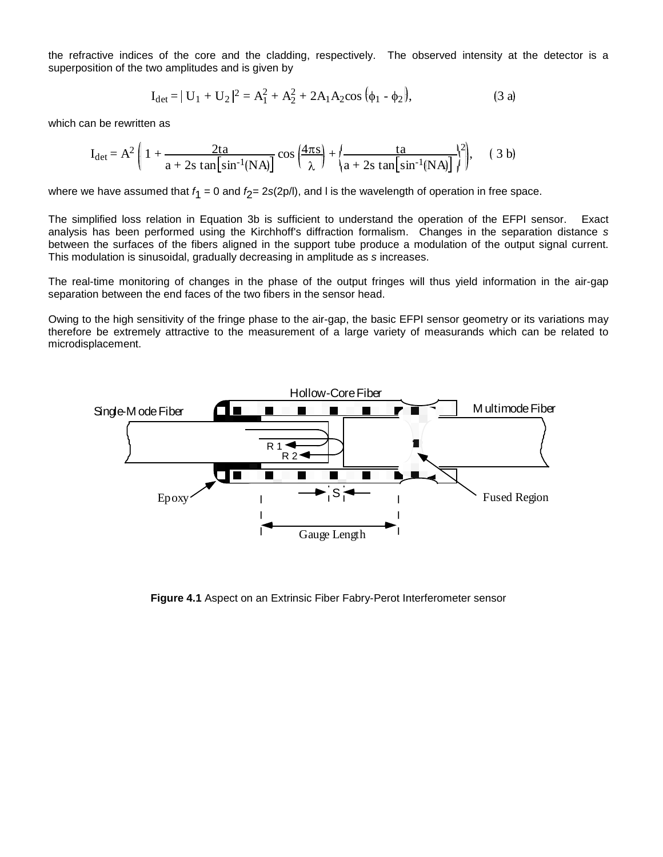the refractive indices of the core and the cladding, respectively. The observed intensity at the detector is a superposition of the two amplitudes and is given by

$$
I_{\text{det}} = | U_1 + U_2 |^2 = A_1^2 + A_2^2 + 2A_1 A_2 \cos (\phi_1 - \phi_2),
$$
 (3 a)

which can be rewritten as

$$
I_{\text{det}} = A^2 \left( 1 + \frac{2ta}{a + 2s \tan \left[ \sin^{-1}(NA) \right]} \cos \left( \frac{4\pi s}{\lambda} \right) + \left( \frac{ta}{a + 2s \tan \left[ \sin^{-1}(NA) \right]} \right)^2 \right), \quad (3 \text{ b})
$$

where we have assumed that *f* 1 = 0 and *f* 2= 2*s*(2p/l), and l is the wavelength of operation in free space.

The simplified loss relation in Equation 3b is sufficient to understand the operation of the EFPI sensor. Exact analysis has been performed using the Kirchhoff's diffraction formalism. Changes in the separation distance *s* between the surfaces of the fibers aligned in the support tube produce a modulation of the output signal current. This modulation is sinusoidal, gradually decreasing in amplitude as *s* increases.

The real-time monitoring of changes in the phase of the output fringes will thus yield information in the air-gap separation between the end faces of the two fibers in the sensor head.

Owing to the high sensitivity of the fringe phase to the air-gap, the basic EFPI sensor geometry or its variations may therefore be extremely attractive to the measurement of a large variety of measurands which can be related to microdisplacement.



**Figure 4.1** Aspect on an Extrinsic Fiber Fabry-Perot Interferometer sensor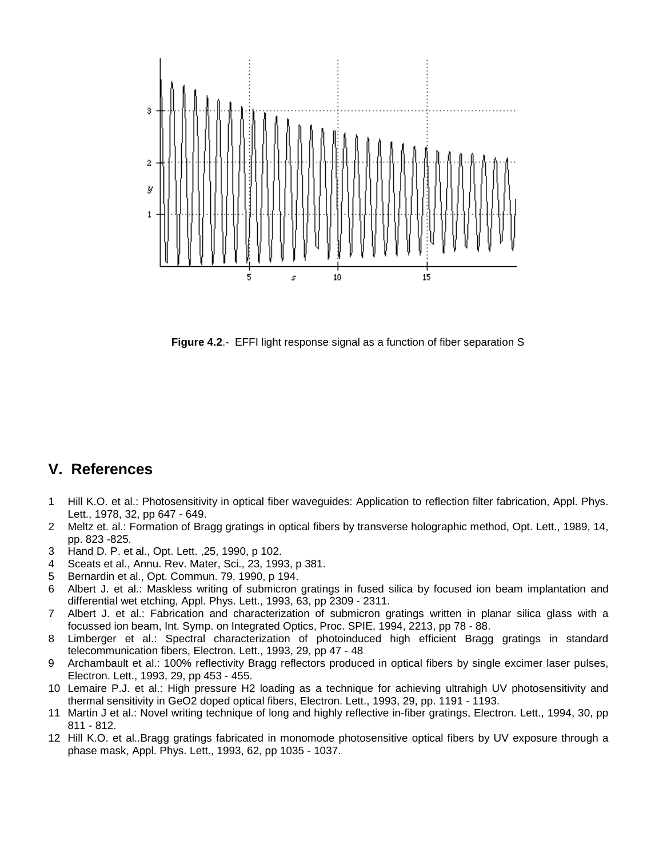

**Figure 4.2**.- EFFI light response signal as a function of fiber separation S

## **V. References**

- 1 Hill K.O. et al.: Photosensitivity in optical fiber waveguides: Application to reflection filter fabrication, Appl. Phys. Lett., 1978, 32, pp 647 - 649.
- 2 Meltz et. al.: Formation of Bragg gratings in optical fibers by transverse holographic method, Opt. Lett., 1989, 14, pp. 823 -825.
- 3 Hand D. P. et al., Opt. Lett. ,25, 1990, p 102.
- 4 Sceats et al., Annu. Rev. Mater, Sci., 23, 1993, p 381.
- 5 Bernardin et al., Opt. Commun. 79, 1990, p 194.
- 6 Albert J. et al.: Maskless writing of submicron gratings in fused silica by focused ion beam implantation and differential wet etching, Appl. Phys. Lett., 1993, 63, pp 2309 - 2311.
- 7 Albert J. et al.: Fabrication and characterization of submicron gratings written in planar silica glass with a focussed ion beam, Int. Symp. on Integrated Optics, Proc. SPIE, 1994, 2213, pp 78 - 88.
- 8 Limberger et al.: Spectral characterization of photoinduced high efficient Bragg gratings in standard telecommunication fibers, Electron. Lett., 1993, 29, pp 47 - 48
- 9 Archambault et al.: 100% reflectivity Bragg reflectors produced in optical fibers by single excimer laser pulses, Electron. Lett., 1993, 29, pp 453 - 455.
- 10 Lemaire P.J. et al.: High pressure H2 loading as a technique for achieving ultrahigh UV photosensitivity and thermal sensitivity in GeO2 doped optical fibers, Electron. Lett., 1993, 29, pp. 1191 - 1193.
- 11 Martin J et al.: Novel writing technique of long and highly reflective in-fiber gratings, Electron. Lett., 1994, 30, pp 811 - 812.
- 12 Hill K.O. et al..Bragg gratings fabricated in monomode photosensitive optical fibers by UV exposure through a phase mask, Appl. Phys. Lett., 1993, 62, pp 1035 - 1037.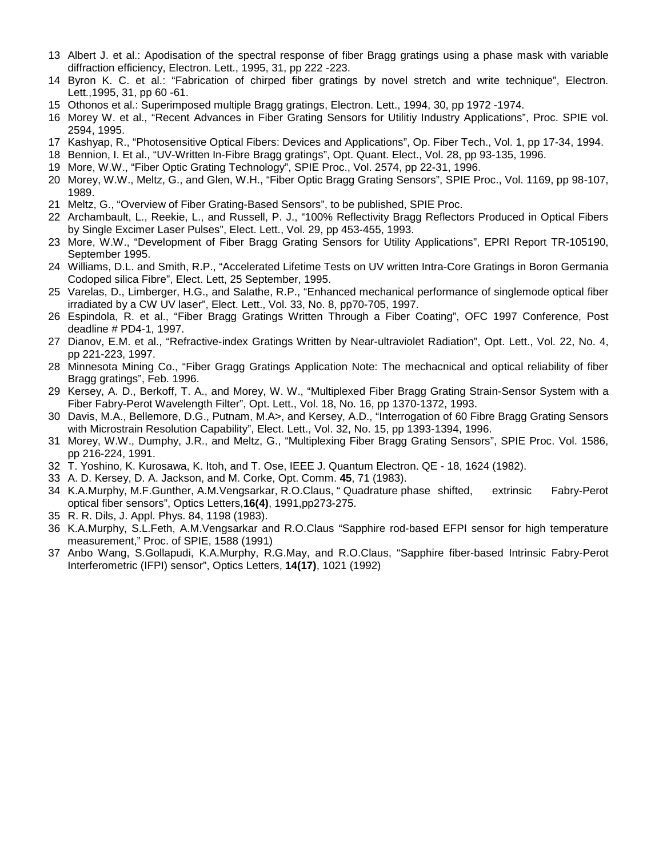- 13 Albert J. et al.: Apodisation of the spectral response of fiber Bragg gratings using a phase mask with variable diffraction efficiency, Electron. Lett., 1995, 31, pp 222 -223.
- 14 Byron K. C. et al.: "Fabrication of chirped fiber gratings by novel stretch and write technique", Electron. Lett.,1995, 31, pp 60 -61.
- 15 Othonos et al.: Superimposed multiple Bragg gratings, Electron. Lett., 1994, 30, pp 1972 -1974.
- 16 Morey W. et al., "Recent Advances in Fiber Grating Sensors for Utilitiy Industry Applications", Proc. SPIE vol. 2594, 1995.
- 17 Kashyap, R., "Photosensitive Optical Fibers: Devices and Applications", Op. Fiber Tech., Vol. 1, pp 17-34, 1994.
- 18 Bennion, I. Et al., "UV-Written In-Fibre Bragg gratings", Opt. Quant. Elect., Vol. 28, pp 93-135, 1996.
- 19 More, W.W., "Fiber Optic Grating Technology", SPIE Proc., Vol. 2574, pp 22-31, 1996.
- 20 Morey, W.W., Meltz, G., and Glen, W.H., "Fiber Optic Bragg Grating Sensors", SPIE Proc., Vol. 1169, pp 98-107, 1989.
- 21 Meltz, G., "Overview of Fiber Grating-Based Sensors", to be published, SPIE Proc.
- 22 Archambault, L., Reekie, L., and Russell, P. J., "100% Reflectivity Bragg Reflectors Produced in Optical Fibers by Single Excimer Laser Pulses", Elect. Lett., Vol. 29, pp 453-455, 1993.
- 23 More, W.W., "Development of Fiber Bragg Grating Sensors for Utility Applications", EPRI Report TR-105190, September 1995.
- 24 Williams, D.L. and Smith, R.P., "Accelerated Lifetime Tests on UV written Intra-Core Gratings in Boron Germania Codoped silica Fibre", Elect. Lett, 25 September, 1995.
- 25 Varelas, D., Limberger, H.G., and Salathe, R.P., "Enhanced mechanical performance of singlemode optical fiber irradiated by a CW UV laser", Elect. Lett., Vol. 33, No. 8, pp70-705, 1997.
- 26 Espindola, R. et al., "Fiber Bragg Gratings Written Through a Fiber Coating", OFC 1997 Conference, Post deadline # PD4-1, 1997.
- 27 Dianov, E.M. et al., "Refractive-index Gratings Written by Near-ultraviolet Radiation", Opt. Lett., Vol. 22, No. 4, pp 221-223, 1997.
- 28 Minnesota Mining Co., "Fiber Gragg Gratings Application Note: The mechacnical and optical reliability of fiber Bragg gratings", Feb. 1996.
- 29 Kersey, A. D., Berkoff, T. A., and Morey, W. W., "Multiplexed Fiber Bragg Grating Strain-Sensor System with a Fiber Fabry-Perot Wavelength Filter", Opt. Lett., Vol. 18, No. 16, pp 1370-1372, 1993.
- 30 Davis, M.A., Bellemore, D.G., Putnam, M.A>, and Kersey, A.D., "Interrogation of 60 Fibre Bragg Grating Sensors with Microstrain Resolution Capability", Elect. Lett., Vol. 32, No. 15, pp 1393-1394, 1996.
- 31 Morey, W.W., Dumphy, J.R., and Meltz, G., "Multiplexing Fiber Bragg Grating Sensors", SPIE Proc. Vol. 1586, pp 216-224, 1991.
- 32 T. Yoshino, K. Kurosawa, K. Itoh, and T. Ose, IEEE J. Quantum Electron. QE 18, 1624 (1982).
- 33 A. D. Kersey, D. A. Jackson, and M. Corke, Opt. Comm. **45**, 71 (1983).
- 34 K.A.Murphy, M.F.Gunther, A.M.Vengsarkar, R.O.Claus, " Quadrature phase shifted, extrinsic Fabry-Perot optical fiber sensors", Optics Letters,**16(4)**, 1991,pp273-275.
- 35 R. R. Dils, J. Appl. Phys. 84, 1198 (1983).
- 36 K.A.Murphy, S.L.Feth, A.M.Vengsarkar and R.O.Claus "Sapphire rod-based EFPI sensor for high temperature measurement," Proc. of SPIE, 1588 (1991)
- 37 Anbo Wang, S.Gollapudi, K.A.Murphy, R.G.May, and R.O.Claus, "Sapphire fiber-based Intrinsic Fabry-Perot Interferometric (IFPI) sensor", Optics Letters, **14(17)**, 1021 (1992)